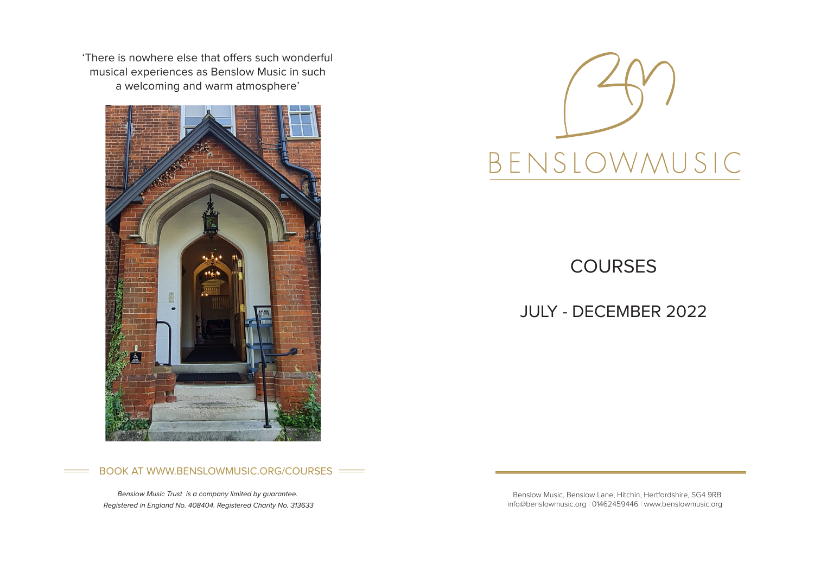'There is nowhere else that offers such wonderful musical experiences as Benslow Music in such a welcoming and warm atmosphere'





**COURSES** 

JULY - DECEMBER 2022

## BOOK AT WWW.BENSLOWMUSIC.ORG/COURSES

*Benslow Music Trust is a company limited by guarantee. Registered in England No. 408404. Registered Charity No. 313633*

 Benslow Music, Benslow Lane, Hitchin, Hertfordshire, SG4 9RB info@benslowmusic.org | 01462459446 | www.benslowmusic.org